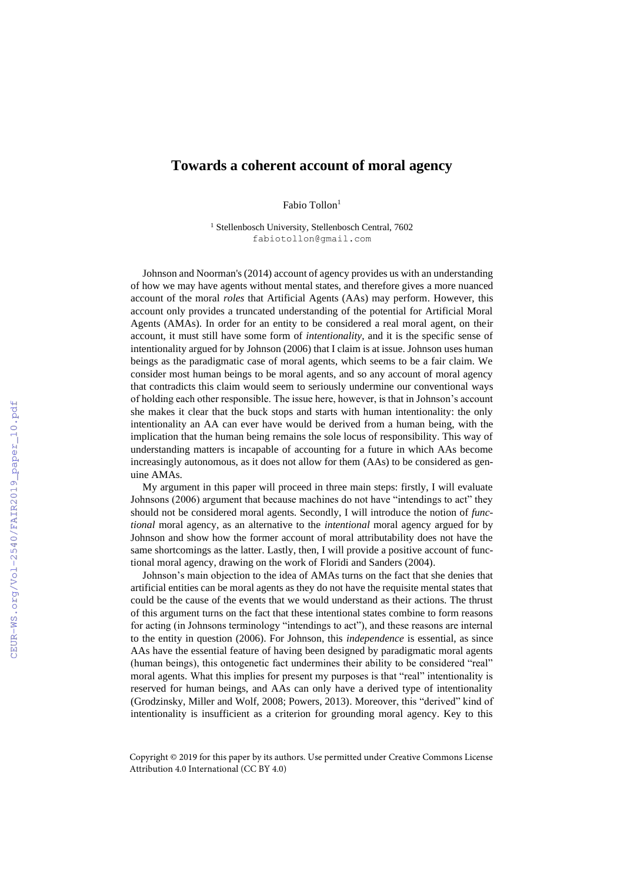## **Towards a coherent account of moral agency**

Fabio Tollon<sup>1</sup>

<sup>1</sup> Stellenbosch University, Stellenbosch Central, 7602 fabiotollon@gmail.com

Johnson and Noorman's (2014) account of agency provides us with an understanding of how we may have agents without mental states, and therefore gives a more nuanced account of the moral *roles* that Artificial Agents (AAs) may perform. However, this account only provides a truncated understanding of the potential for Artificial Moral Agents (AMAs). In order for an entity to be considered a real moral agent, on their account, it must still have some form of *intentionality*, and it is the specific sense of intentionality argued for by Johnson (2006) that I claim is at issue. Johnson uses human beings as the paradigmatic case of moral agents, which seems to be a fair claim. We consider most human beings to be moral agents, and so any account of moral agency that contradicts this claim would seem to seriously undermine our conventional ways of holding each other responsible. The issue here, however, is that in Johnson's account she makes it clear that the buck stops and starts with human intentionality: the only intentionality an AA can ever have would be derived from a human being, with the implication that the human being remains the sole locus of responsibility. This way of understanding matters is incapable of accounting for a future in which AAs become increasingly autonomous, as it does not allow for them (AAs) to be considered as genuine AMAs.

My argument in this paper will proceed in three main steps: firstly, I will evaluate Johnsons (2006) argument that because machines do not have "intendings to act" they should not be considered moral agents. Secondly, I will introduce the notion of *functional* moral agency, as an alternative to the *intentional* moral agency argued for by Johnson and show how the former account of moral attributability does not have the same shortcomings as the latter. Lastly, then, I will provide a positive account of functional moral agency, drawing on the work of Floridi and Sanders (2004).

Johnson's main objection to the idea of AMAs turns on the fact that she denies that artificial entities can be moral agents as they do not have the requisite mental states that could be the cause of the events that we would understand as their actions. The thrust of this argument turns on the fact that these intentional states combine to form reasons for acting (in Johnsons terminology "intendings to act"), and these reasons are internal to the entity in question (2006). For Johnson, this *independence* is essential, as since AAs have the essential feature of having been designed by paradigmatic moral agents (human beings), this ontogenetic fact undermines their ability to be considered "real" moral agents. What this implies for present my purposes is that "real" intentionality is reserved for human beings, and AAs can only have a derived type of intentionality (Grodzinsky, Miller and Wolf, 2008; Powers, 2013). Moreover, this "derived" kind of intentionality is insufficient as a criterion for grounding moral agency. Key to this

Copyright © 2019 for this paper by its authors. Use permitted under Creative Commons License Attribution 4.0 International (CC BY 4.0)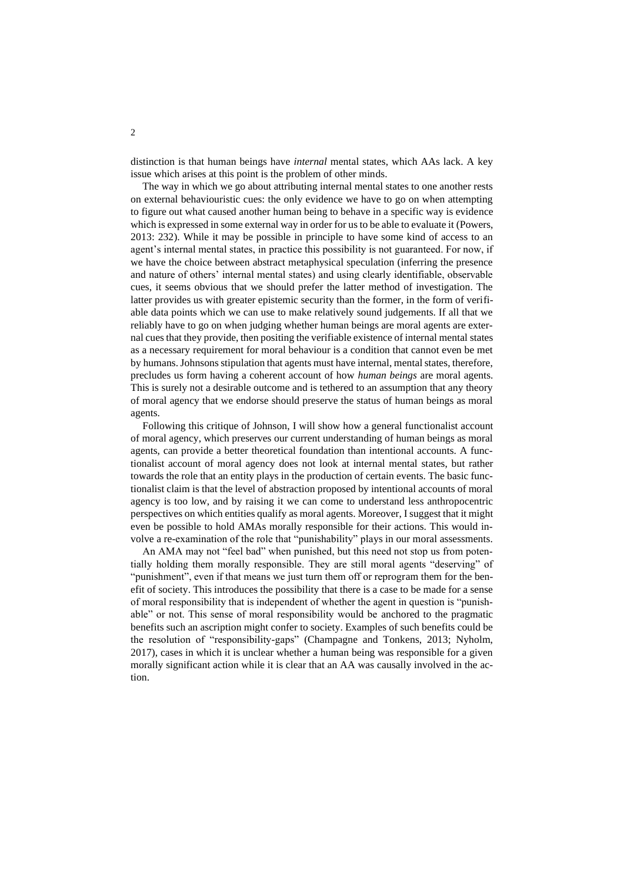distinction is that human beings have *internal* mental states, which AAs lack. A key issue which arises at this point is the problem of other minds.

The way in which we go about attributing internal mental states to one another rests on external behaviouristic cues: the only evidence we have to go on when attempting to figure out what caused another human being to behave in a specific way is evidence which is expressed in some external way in order for us to be able to evaluate it (Powers, 2013: 232). While it may be possible in principle to have some kind of access to an agent's internal mental states, in practice this possibility is not guaranteed. For now, if we have the choice between abstract metaphysical speculation (inferring the presence and nature of others' internal mental states) and using clearly identifiable, observable cues, it seems obvious that we should prefer the latter method of investigation. The latter provides us with greater epistemic security than the former, in the form of verifiable data points which we can use to make relatively sound judgements. If all that we reliably have to go on when judging whether human beings are moral agents are external cues that they provide, then positing the verifiable existence of internal mental states as a necessary requirement for moral behaviour is a condition that cannot even be met by humans. Johnsons stipulation that agents must have internal, mental states, therefore, precludes us form having a coherent account of how *human beings* are moral agents. This is surely not a desirable outcome and is tethered to an assumption that any theory of moral agency that we endorse should preserve the status of human beings as moral agents.

Following this critique of Johnson, I will show how a general functionalist account of moral agency, which preserves our current understanding of human beings as moral agents, can provide a better theoretical foundation than intentional accounts. A functionalist account of moral agency does not look at internal mental states, but rather towards the role that an entity plays in the production of certain events. The basic functionalist claim is that the level of abstraction proposed by intentional accounts of moral agency is too low, and by raising it we can come to understand less anthropocentric perspectives on which entities qualify as moral agents. Moreover, I suggest that it might even be possible to hold AMAs morally responsible for their actions. This would involve a re-examination of the role that "punishability" plays in our moral assessments.

An AMA may not "feel bad" when punished, but this need not stop us from potentially holding them morally responsible. They are still moral agents "deserving" of "punishment", even if that means we just turn them off or reprogram them for the benefit of society. This introduces the possibility that there is a case to be made for a sense of moral responsibility that is independent of whether the agent in question is "punishable" or not. This sense of moral responsibility would be anchored to the pragmatic benefits such an ascription might confer to society. Examples of such benefits could be the resolution of "responsibility-gaps" (Champagne and Tonkens, 2013; Nyholm, 2017), cases in which it is unclear whether a human being was responsible for a given morally significant action while it is clear that an AA was causally involved in the action.